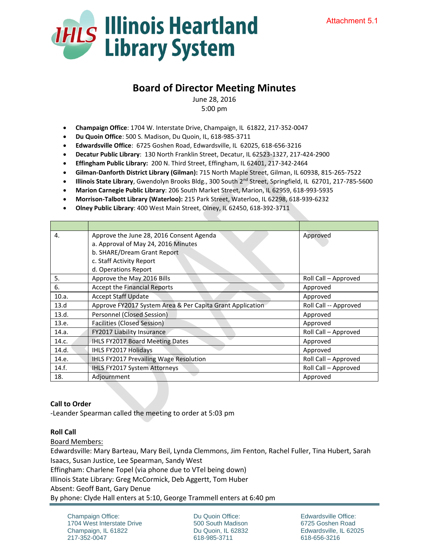

# **Board of Director Meeting Minutes**

June 28, 2016 5:00 pm

- **Champaign Office**: 1704 W. Interstate Drive, Champaign, IL 61822, 217-352-0047
- **Du Quoin Office**: 500 S. Madison, Du Quoin, IL, 618-985-3711
- **Edwardsville Office**: 6725 Goshen Road, Edwardsville, IL 62025, 618-656-3216
- **Decatur Public Library**: 130 North Franklin Street, Decatur, IL 62523-1327, 217-424-2900
- **Effingham Public Library:** 200 N. Third Street, Effingham, IL 62401, 217-342-2464
- **Gilman-Danforth District Library (Gilman):** 715 North Maple Street, Gilman, IL 60938, 815-265-7522
- **Illinois State Library**, Gwendolyn Brooks Bldg., 300 South 2nd Street, Springfield, IL 62701, 217-785-5600
- **Marion Carnegie Public Library**: 206 South Market Street, Marion, IL 62959, 618-993-5935
- **Morrison-Talbott Library (Waterloo):** 215 Park Street, Waterloo, IL 62298, 618-939-6232
- **Olney Public Library**: 400 West Main Street, Olney, IL 62450, 618-392-3711

| 4.    | Approve the June 28, 2016 Consent Agenda                  | Approved              |
|-------|-----------------------------------------------------------|-----------------------|
|       | a. Approval of May 24, 2016 Minutes                       |                       |
|       | b. SHARE/Dream Grant Report                               |                       |
|       | c. Staff Activity Report                                  |                       |
|       | d. Operations Report                                      |                       |
| 5.    | Approve the May 2016 Bills                                | Roll Call - Approved  |
| 6.    | Accept the Financial Reports                              | Approved              |
| 10.a. | <b>Accept Staff Update</b>                                | Approved              |
| 13.d  | Approve FY2017 System Area & Per Capita Grant Application | Roll Call -- Approved |
| 13.d. | Personnel (Closed Session)                                | Approved              |
| 13.e. | Facilities (Closed Session)                               | Approved              |
| 14.a. | FY2017 Liability Insurance                                | Roll Call - Approved  |
| 14.c. | <b>IHLS FY2017 Board Meeting Dates</b>                    | Approved              |
| 14.d. | IHLS FY2017 Holidays                                      | Approved              |
| 14.e. | IHLS FY2017 Prevailing Wage Resolution                    | Roll Call - Approved  |
| 14.f. | IHLS FY2017 System Attorneys                              | Roll Call - Approved  |
| 18.   | Adjournment                                               | Approved              |

#### **Call to Order**

-Leander Spearman called the meeting to order at 5:03 pm

#### **Roll Call**

Board Members:

Edwardsville: Mary Barteau, Mary Beil, Lynda Clemmons, Jim Fenton, Rachel Fuller, Tina Hubert, Sarah Isaacs, Susan Justice, Lee Spearman, Sandy West

Effingham: Charlene Topel (via phone due to VTel being down)

Illinois State Library: Greg McCormick, Deb Aggertt, Tom Huber

Absent: Geoff Bant, Gary Denue

By phone: Clyde Hall enters at 5:10, George Trammell enters at 6:40 pm

Champaign Office: 1704 West Interstate Drive Champaign, IL 61822 217-352-0047

Du Quoin Office: 500 South Madison Du Quoin, IL 62832 618-985-3711

Edwardsville Office: 6725 Goshen Road Edwardsville, IL 62025 618-656-3216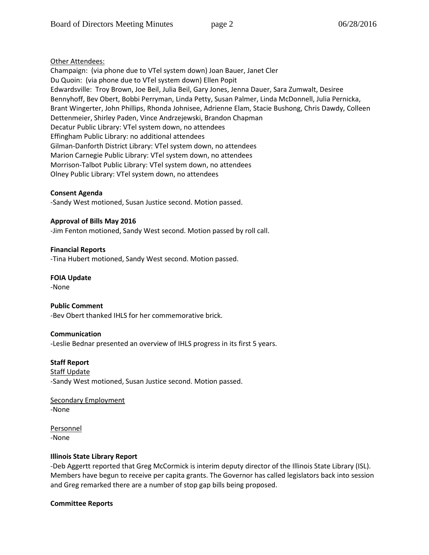# Other Attendees:

Champaign: (via phone due to VTel system down) Joan Bauer, Janet Cler Du Quoin: (via phone due to VTel system down) Ellen Popit Edwardsville: Troy Brown, Joe Beil, Julia Beil, Gary Jones, Jenna Dauer, Sara Zumwalt, Desiree Bennyhoff, Bev Obert, Bobbi Perryman, Linda Petty, Susan Palmer, Linda McDonnell, Julia Pernicka, Brant Wingerter, John Phillips, Rhonda Johnisee, Adrienne Elam, Stacie Bushong, Chris Dawdy, Colleen Dettenmeier, Shirley Paden, Vince Andrzejewski, Brandon Chapman Decatur Public Library: VTel system down, no attendees Effingham Public Library: no additional attendees Gilman-Danforth District Library: VTel system down, no attendees Marion Carnegie Public Library: VTel system down, no attendees Morrison-Talbot Public Library: VTel system down, no attendees Olney Public Library: VTel system down, no attendees

## **Consent Agenda**

-Sandy West motioned, Susan Justice second. Motion passed.

**Approval of Bills May 2016**  -Jim Fenton motioned, Sandy West second. Motion passed by roll call.

**Financial Reports** -Tina Hubert motioned, Sandy West second. Motion passed.

## **FOIA Update**

-None

#### **Public Comment**

-Bev Obert thanked IHLS for her commemorative brick.

#### **Communication**

-Leslie Bednar presented an overview of IHLS progress in its first 5 years.

**Staff Report**

Staff Update -Sandy West motioned, Susan Justice second. Motion passed.

Secondary Employment -None

Personnel -None

# **Illinois State Library Report**

-Deb Aggertt reported that Greg McCormick is interim deputy director of the Illinois State Library (ISL). Members have begun to receive per capita grants. The Governor has called legislators back into session and Greg remarked there are a number of stop gap bills being proposed.

#### **Committee Reports**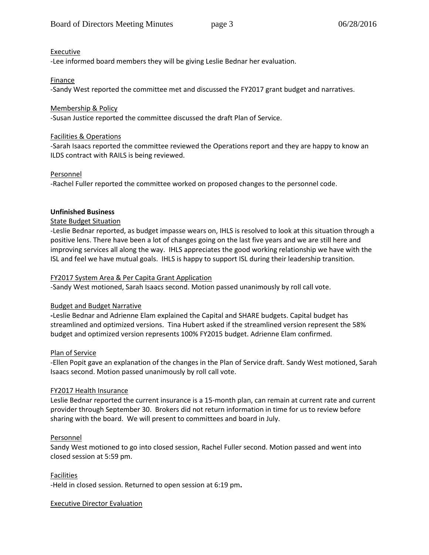# Executive

-Lee informed board members they will be giving Leslie Bednar her evaluation.

# **Finance**

-Sandy West reported the committee met and discussed the FY2017 grant budget and narratives.

## Membership & Policy

-Susan Justice reported the committee discussed the draft Plan of Service.

## Facilities & Operations

-Sarah Isaacs reported the committee reviewed the Operations report and they are happy to know an ILDS contract with RAILS is being reviewed.

## Personnel

-Rachel Fuller reported the committee worked on proposed changes to the personnel code.

# **Unfinished Business**

## State Budget Situation

-Leslie Bednar reported, as budget impasse wears on, IHLS is resolved to look at this situation through a positive lens. There have been a lot of changes going on the last five years and we are still here and improving services all along the way. IHLS appreciates the good working relationship we have with the ISL and feel we have mutual goals. IHLS is happy to support ISL during their leadership transition.

# FY2017 System Area & Per Capita Grant Application

-Sandy West motioned, Sarah Isaacs second. Motion passed unanimously by roll call vote.

#### Budget and Budget Narrative

**-**Leslie Bednar and Adrienne Elam explained the Capital and SHARE budgets. Capital budget has streamlined and optimized versions. Tina Hubert asked if the streamlined version represent the 58% budget and optimized version represents 100% FY2015 budget. Adrienne Elam confirmed.

#### Plan of Service

-Ellen Popit gave an explanation of the changes in the Plan of Service draft. Sandy West motioned, Sarah Isaacs second. Motion passed unanimously by roll call vote.

#### FY2017 Health Insurance

Leslie Bednar reported the current insurance is a 15-month plan, can remain at current rate and current provider through September 30. Brokers did not return information in time for us to review before sharing with the board. We will present to committees and board in July.

#### Personnel

Sandy West motioned to go into closed session, Rachel Fuller second. Motion passed and went into closed session at 5:59 pm.

#### Facilities

-Held in closed session. Returned to open session at 6:19 pm**.** 

#### Executive Director Evaluation